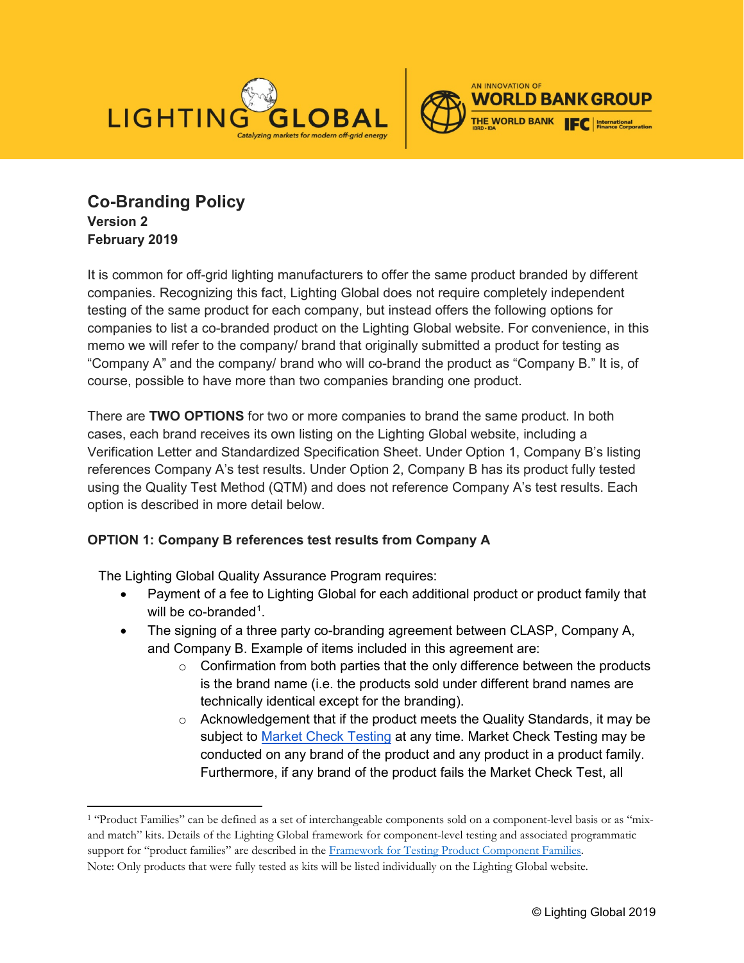



**Co-Branding Policy Version 2 February 2019**

 $\ddot{\phantom{a}}$ 

It is common for off-grid lighting manufacturers to offer the same product branded by different companies. Recognizing this fact, Lighting Global does not require completely independent testing of the same product for each company, but instead offers the following options for companies to list a co-branded product on the Lighting Global website. For convenience, in this memo we will refer to the company/ brand that originally submitted a product for testing as "Company A" and the company/ brand who will co-brand the product as "Company B." It is, of course, possible to have more than two companies branding one product.

There are **TWO OPTIONS** for two or more companies to brand the same product. In both cases, each brand receives its own listing on the Lighting Global website, including a Verification Letter and Standardized Specification Sheet. Under Option 1, Company B's listing references Company A's test results. Under Option 2, Company B has its product fully tested using the Quality Test Method (QTM) and does not reference Company A's test results. Each option is described in more detail below.

## **OPTION 1: Company B references test results from Company A**

The Lighting Global Quality Assurance Program requires:

- Payment of a fee to Lighting Global for each additional product or product family that will be co-branded<sup>[1](#page-0-0)</sup>.
- The signing of a three party co-branding agreement between CLASP, Company A, and Company B. Example of items included in this agreement are:
	- $\circ$  Confirmation from both parties that the only difference between the products is the brand name (i.e. the products sold under different brand names are technically identical except for the branding).
	- $\circ$  Acknowledgement that if the product meets the Quality Standards, it may be subject to [Market Check Testing](https://www.lightingglobal.org/resource/market-check-testing-policy/) at any time. Market Check Testing may be conducted on any brand of the product and any product in a product family. Furthermore, if any brand of the product fails the Market Check Test, all

<span id="page-0-0"></span><sup>&</sup>lt;sup>1</sup> "Product Families" can be defined as a set of interchangeable components sold on a component-level basis or as "mixand match" kits. Details of the Lighting Global framework for component-level testing and associated programmatic support for "product families" are described in the [Framework for Testing Product Component Families.](https://www.lightingglobal.org/resource/framework-for-testing-product-component-families/) Note: Only products that were fully tested as kits will be listed individually on the Lighting Global website.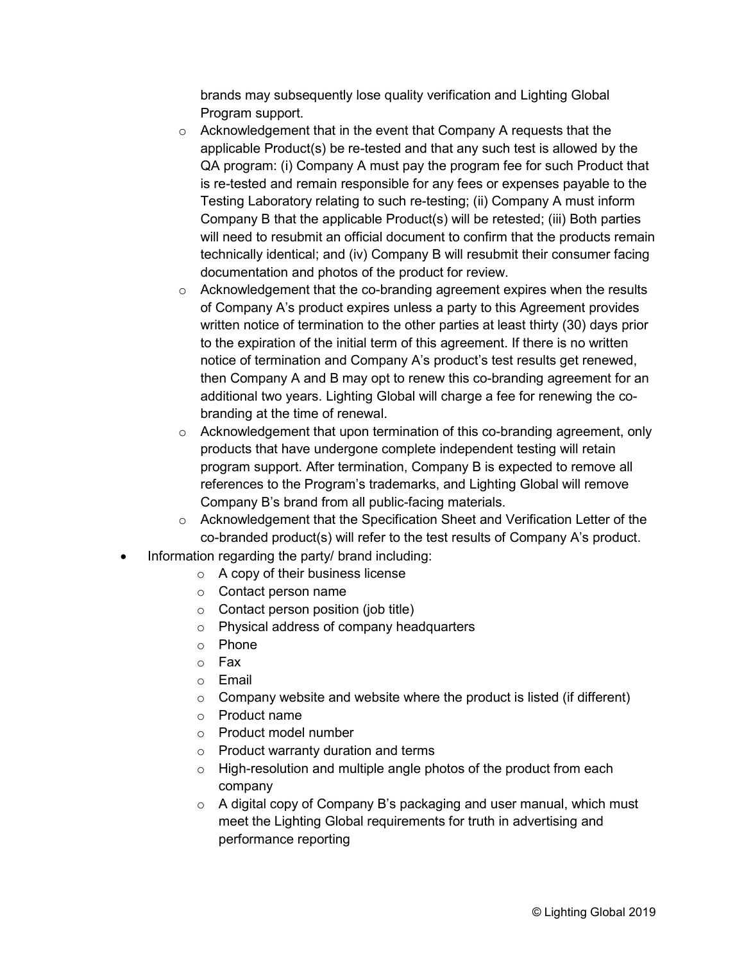brands may subsequently lose quality verification and Lighting Global Program support.

- o Acknowledgement that in the event that Company A requests that the applicable Product(s) be re-tested and that any such test is allowed by the QA program: (i) Company A must pay the program fee for such Product that is re-tested and remain responsible for any fees or expenses payable to the Testing Laboratory relating to such re-testing; (ii) Company A must inform Company B that the applicable Product(s) will be retested; (iii) Both parties will need to resubmit an official document to confirm that the products remain technically identical; and (iv) Company B will resubmit their consumer facing documentation and photos of the product for review.
- $\circ$  Acknowledgement that the co-branding agreement expires when the results of Company A's product expires unless a party to this Agreement provides written notice of termination to the other parties at least thirty (30) days prior to the expiration of the initial term of this agreement. If there is no written notice of termination and Company A's product's test results get renewed, then Company A and B may opt to renew this co-branding agreement for an additional two years. Lighting Global will charge a fee for renewing the cobranding at the time of renewal.
- $\circ$  Acknowledgement that upon termination of this co-branding agreement, only products that have undergone complete independent testing will retain program support. After termination, Company B is expected to remove all references to the Program's trademarks, and Lighting Global will remove Company B's brand from all public-facing materials.
- $\circ$  Acknowledgement that the Specification Sheet and Verification Letter of the co-branded product(s) will refer to the test results of Company A's product.
- Information regarding the party/ brand including:
	- $\circ$  A copy of their business license
	- o Contact person name
	- $\circ$  Contact person position (job title)
	- o Physical address of company headquarters
	- o Phone
	- o Fax
	- o Email
	- $\circ$  Company website and website where the product is listed (if different)
	- o Product name
	- o Product model number
	- o Product warranty duration and terms
	- o High-resolution and multiple angle photos of the product from each company
	- o A digital copy of Company B's packaging and user manual, which must meet the Lighting Global requirements for truth in advertising and performance reporting